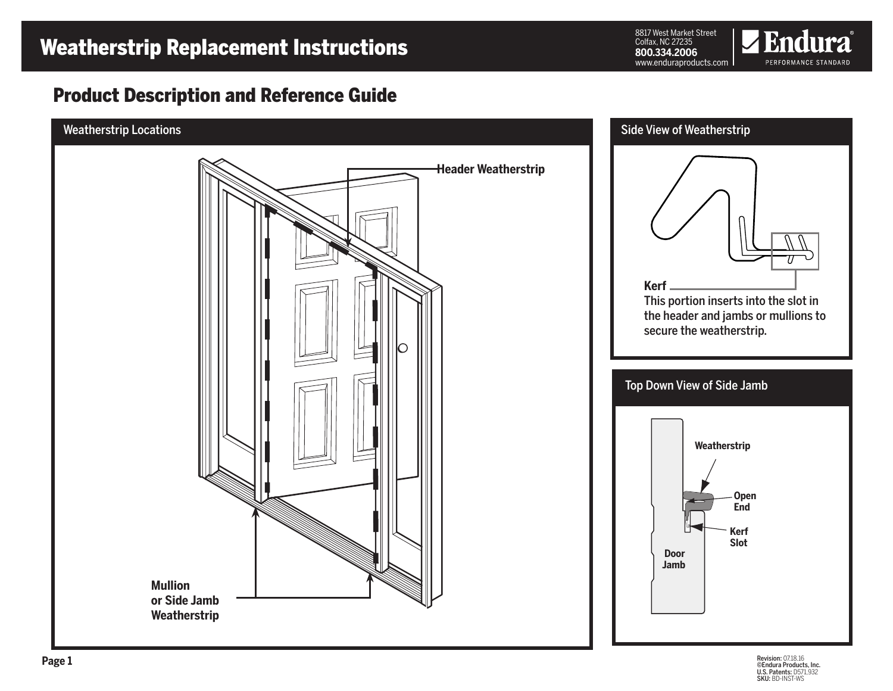# Weatherstrip Replacement Instructions

8817 West Market Street Colfax, NC 27235 **800.334.2006** www.enduraproducts.com



## Product Description and Reference Guide

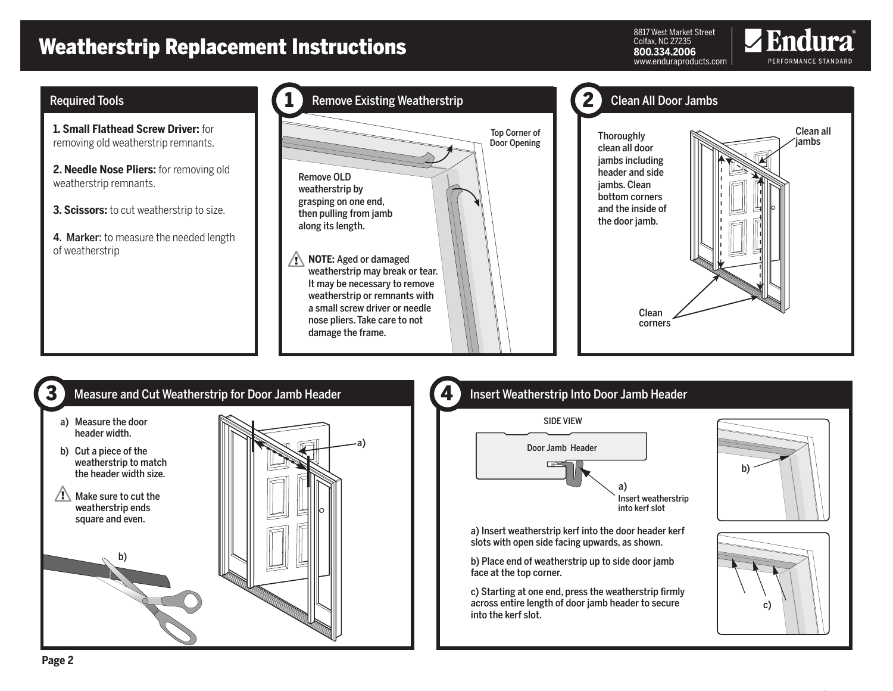# Weatherstrip Replacement Instructions

Measure and Cut Weatherstrip for Door Jamb Header **4.4 Measure and Cut** 

a)

8817 West Market Street Colfax, NC 27235 **800.334.2006** www.enduraproducts.com



- **1. Small Flathead Screw Driver:** for removing old weatherstrip remnants.
- **2. Needle Nose Pliers:** for removing old weatherstrip remnants.
- **3. Scissors:** to cut weatherstrip to size.
- 4. Marker: to measure the needed length of weatherstrip





## Insert Weatherstrip Into Door Jamb Header

### SIDE VIEW



a) Insert weatherstrip kerf into the door header kerf slots with open side facing upwards, as shown.

b) Place end of weatherstrip up to side door jamb face at the top corner.

c) Starting at one end, press the weatherstrip firmly across entire length of door jamb header to secure into the kerf slot.







3

a) Measure the door header width. b) Cut a piece of the weatherstrip to match the header width size.

 $\sqrt{N}$  Make sure to cut the weatherstrip ends square and even.

b)